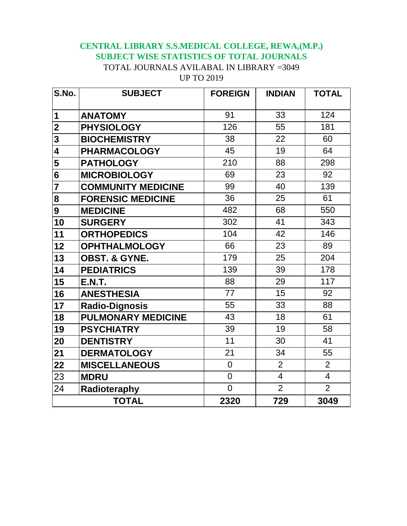## **CENTRAL LIBRARY S.S.MEDICAL COLLEGE, REWA,(M.P.) SUBJECT WISE STATISTICS OF TOTAL JOURNALS** TOTAL JOURNALS AVILABAL IN LIBRARY =3049 UP TO 2019

| S.No.                   | <b>SUBJECT</b>            | <b>FOREIGN</b> | <b>INDIAN</b>  | <b>TOTAL</b>   |
|-------------------------|---------------------------|----------------|----------------|----------------|
|                         |                           |                |                |                |
| 1                       | <b>ANATOMY</b>            | 91             | 33             | 124            |
| $\overline{\mathbf{2}}$ | <b>PHYSIOLOGY</b>         | 126            | 55             | 181            |
| $\overline{\mathbf{3}}$ | <b>BIOCHEMISTRY</b>       | 38             | 22             | 60             |
| 4                       | <b>PHARMACOLOGY</b>       | 45             | 19             | 64             |
| 5                       | <b>PATHOLOGY</b>          | 210            | 88             | 298            |
| 6                       | <b>MICROBIOLOGY</b>       | 69             | 23             | 92             |
| $\overline{7}$          | <b>COMMUNITY MEDICINE</b> | 99             | 40             | 139            |
| 8                       | <b>FORENSIC MEDICINE</b>  | 36             | 25             | 61             |
| 9                       | <b>MEDICINE</b>           | 482            | 68             | 550            |
| 10                      | <b>SURGERY</b>            | 302            | 41             | 343            |
| 11                      | <b>ORTHOPEDICS</b>        | 104            | 42             | 146            |
| 12                      | <b>OPHTHALMOLOGY</b>      | 66             | 23             | 89             |
| 13                      | <b>OBST. &amp; GYNE.</b>  | 179            | 25             | 204            |
| 14                      | <b>PEDIATRICS</b>         | 139            | 39             | 178            |
| 15                      | <b>E.N.T.</b>             | 88             | 29             | 117            |
| 16                      | <b>ANESTHESIA</b>         | 77             | 15             | 92             |
| 17                      | <b>Radio-Dignosis</b>     | 55             | 33             | 88             |
| 18                      | <b>PULMONARY MEDICINE</b> | 43             | 18             | 61             |
| 19                      | <b>PSYCHIATRY</b>         | 39             | 19             | 58             |
| 20                      | <b>DENTISTRY</b>          | 11             | 30             | 41             |
| 21                      | <b>DERMATOLOGY</b>        | 21             | 34             | 55             |
| 22                      | <b>MISCELLANEOUS</b>      | $\overline{0}$ | $\overline{2}$ | $\overline{2}$ |
| 23                      | <b>MDRU</b>               | $\overline{0}$ | $\overline{4}$ | $\overline{4}$ |
| 24                      | Radioteraphy              | $\overline{0}$ | $\overline{2}$ | $\overline{2}$ |
| <b>TOTAL</b>            |                           | 2320           | 729            | 3049           |